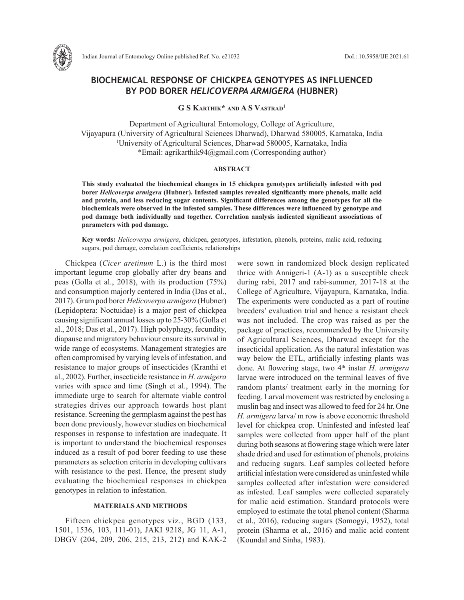

# **BIOCHEMICAL RESPONSE OF CHICKPEA GENOTYPES AS INFLUENCED BY POD BORER** *HELICOVERPA ARMIGERA* **(HUBNER)**

**G S Karthik\* and A S Vastrad1**

Department of Agricultural Entomology, College of Agriculture, Vijayapura (University of Agricultural Sciences Dharwad), Dharwad 580005, Karnataka, India 1 University of Agricultural Sciences, Dharwad 580005, Karnataka, India \*Email: agrikarthik94@gmail.com (Corresponding author)

#### **ABSTRACT**

**This study evaluated the biochemical changes in 15 chickpea genotypes artificially infested with pod borer** *Helicoverpa armigera* **(Hubner). Infested samples revealed significantly more phenols, malic acid and protein, and less reducing sugar contents. Significant differences among the genotypes for all the biochemicals were observed in the infested samples. These differences were influenced by genotype and pod damage both individually and together. Correlation analysis indicated significant associations of parameters with pod damage.** 

**Key words:** *Helicoverpa armigera*, chickpea, genotypes, infestation, phenols, proteins, malic acid, reducing sugars, pod damage, correlation coefficients, relationships

Chickpea (*Cicer aretinum* L.) is the third most important legume crop globally after dry beans and peas (Golla et al., 2018), with its production (75%) and consumption majorly centered in India (Das et al., 2017). Gram pod borer *Helicoverpa armigera* (Hubner) (Lepidoptera: Noctuidae) is a major pest of chickpea causing significant annual losses up to 25-30% (Golla et al., 2018; Das et al., 2017). High polyphagy, fecundity, diapause and migratory behaviour ensure its survival in wide range of ecosystems. Management strategies are often compromised by varying levels of infestation, and resistance to major groups of insecticides (Kranthi et al., 2002). Further, insecticide resistance in *H. armigera*  varies with space and time (Singh et al., 1994). The immediate urge to search for alternate viable control strategies drives our approach towards host plant resistance. Screening the germplasm against the pest has been done previously, however studies on biochemical responses in response to infestation are inadequate. It is important to understand the biochemical responses induced as a result of pod borer feeding to use these parameters as selection criteria in developing cultivars with resistance to the pest. Hence, the present study evaluating the biochemical responses in chickpea genotypes in relation to infestation.

## **MATERIALS AND METHODS**

Fifteen chickpea genotypes viz., BGD (133, 1501, 1536, 103, 111-01), JAKI 9218, JG 11, A-1, DBGV (204, 209, 206, 215, 213, 212) and KAK-2 were sown in randomized block design replicated thrice with Annigeri-1 (A-1) as a susceptible check during rabi, 2017 and rabi*-*summer, 2017-18 at the College of Agriculture, Vijayapura, Karnataka, India. The experiments were conducted as a part of routine breeders' evaluation trial and hence a resistant check was not included. The crop was raised as per the package of practices, recommended by the University of Agricultural Sciences, Dharwad except for the insecticidal application. As the natural infestation was way below the ETL, artificially infesting plants was done. At flowering stage, two 4<sup>th</sup> instar *H. armigera* larvae were introduced on the terminal leaves of five random plants/ treatment early in the morning for feeding. Larval movement was restricted by enclosing a muslin bag and insect was allowed to feed for 24 hr. One *H. armigera* larva/ m row is above economic threshold level for chickpea crop. Uninfested and infested leaf samples were collected from upper half of the plant during both seasons at flowering stage which were later shade dried and used for estimation of phenols, proteins and reducing sugars. Leaf samples collected before artificial infestation were considered as uninfested while samples collected after infestation were considered as infested. Leaf samples were collected separately for malic acid estimation. Standard protocols were employed to estimate the total phenol content (Sharma et al., 2016), reducing sugars (Somogyi, 1952), total protein (Sharma et al., 2016) and malic acid content (Koundal and Sinha, 1983).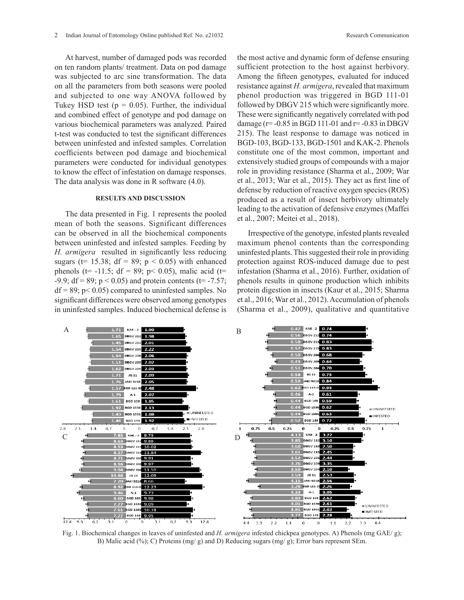At harvest, number of damaged pods was recorded on ten random plants/ treatment. Data on pod damage was subjected to arc sine transformation. The data on all the parameters from both seasons were pooled and subjected to one way ANOVA followed by Tukey HSD test ( $p = 0.05$ ). Further, the individual and combined effect of genotype and pod damage on various biochemical parameters was analyzed. Paired t-test was conducted to test the significant differences between uninfested and infested samples. Correlation coefficients between pod damage and biochemical parameters were conducted for individual genotypes to know the effect of infestation on damage responses. The data analysis was done in R software (4.0).

## **RESULTS AND DISCUSSION**

The data presented in Fig. 1 represents the pooled mean of both the seasons. Significant differences can be observed in all the biochemical components between uninfested and infested samples. Feeding by *H. armigera* resulted in significantly less reducing sugars ( $t= 15.38$ ; df = 89;  $p < 0.05$ ) with enhanced phenols ( $t$ = -11.5; df = 89; p< 0.05), malic acid ( $t$ = -9.9; df = 89;  $p < 0.05$ ) and protein contents (t= -7.57;  $df = 89$ ;  $p < 0.05$ ) compared to uninfested samples. No significant differences were observed among genotypes in uninfested samples. Induced biochemical defense is

the most active and dynamic form of defense ensuring sufficient protection to the host against herbivory. Among the fifteen genotypes, evaluated for induced resistance against *H. armigera*, revealed that maximum phenol production was triggered in BGD 111-01 followed by DBGV 215 which were significantly more. These were significantly negatively correlated with pod damage ( $r = -0.85$  in BGD 111-01 and  $r = -0.83$  in DBGV 215). The least response to damage was noticed in BGD-103, BGD-133, BGD-1501 and KAK-2. Phenols constitute one of the most common, important and extensively studied groups of compounds with a major role in providing resistance (Sharma et al., 2009; War et al., 2013; War et al., 2015). They act as first line of defense by reduction of reactive oxygen species (ROS) produced as a result of insect herbivory ultimately leading to the activation of defensive enzymes (Maffei et al., 2007; Meitei et al., 2018).

Irrespective of the genotype, infested plants revealed maximum phenol contents than the corresponding uninfested plants. This suggested their role in providing protection against ROS-induced damage due to pest infestation (Sharma et al., 2016). Further, oxidation of phenols results in quinone production which inhibits protein digestion in insects (Kaur et al., 2015; Sharma et al., 2016; War et al., 2012). Accumulation of phenols (Sharma et al., 2009), qualitative and quantitative



Fig. 1. Biochemical changes in leaves of uninfested and *H. armigera* infested chickpea genotypes. A) Phenols (mg GAE/ g); B) Malic acid (%); C) Proteins (mg/ g) and D) Reducing sugars (mg/ g); Error bars represent SEm.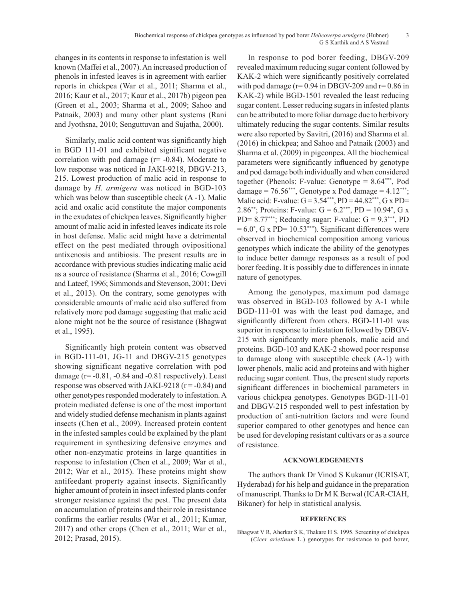changes in its contents in response to infestation is well known (Maffei et al., 2007). An increased production of phenols in infested leaves is in agreement with earlier reports in chickpea (War et al., 2011; Sharma et al., 2016; Kaur et al., 2017; Kaur et al., 2017b) pigeon pea (Green et al., 2003; Sharma et al., 2009; Sahoo and Patnaik, 2003) and many other plant systems (Rani and Jyothsna, 2010; Senguttuvan and Sujatha, 2000).

Similarly, malic acid content was significantly high in BGD 111-01 and exhibited significant negative correlation with pod damage  $(r= -0.84)$ . Moderate to low response was noticed in JAKI-9218, DBGV-213, 215. Lowest production of malic acid in response to damage by *H. armigera* was noticed in BGD-103 which was below than susceptible check  $(A - 1)$ . Malic acid and oxalic acid constitute the major components in the exudates of chickpea leaves. Significantly higher amount of malic acid in infested leaves indicate its role in host defense. Malic acid might have a detrimental effect on the pest mediated through ovipositional antixenosis and antibiosis. The present results are in accordance with previous studies indicating malic acid as a source of resistance (Sharma et al., 2016; Cowgill and Lateef, 1996; Simmonds and Stevenson, 2001; Devi et al., 2013). On the contrary, some genotypes with considerable amounts of malic acid also suffered from relatively more pod damage suggesting that malic acid alone might not be the source of resistance (Bhagwat et al., 1995).

Significantly high protein content was observed in BGD-111-01, JG-11 and DBGV-215 genotypes showing significant negative correlation with pod damage  $(r = -0.81, -0.84, and -0.81$  respectively). Least response was observed with JAKI-9218 ( $r = -0.84$ ) and other genotypes responded moderately to infestation. A protein mediated defense is one of the most important and widely studied defense mechanism in plants against insects (Chen et al., 2009). Increased protein content in the infested samples could be explained by the plant requirement in synthesizing defensive enzymes and other non-enzymatic proteins in large quantities in response to infestation (Chen et al., 2009; War et al., 2012; War et al., 2015). These proteins might show antifeedant property against insects. Significantly higher amount of protein in insect infested plants confer stronger resistance against the pest. The present data on accumulation of proteins and their role in resistance confirms the earlier results (War et al., 2011; Kumar, 2017) and other crops (Chen et al., 2011; War et al., 2012; Prasad, 2015).

In response to pod borer feeding, DBGV-209 revealed maximum reducing sugar content followed by KAK-2 which were significantly positively correlated with pod damage ( $r= 0.94$  in DBGV-209 and  $r= 0.86$  in KAK-2) while BGD-1501 revealed the least reducing sugar content. Lesser reducing sugars in infested plants can be attributed to more foliar damage due to herbivory ultimately reducing the sugar contents. Similar results were also reported by Savitri, (2016) and Sharma et al. (2016) in chickpea; and Sahoo and Patnaik (2003) and Sharma et al. (2009) in pigeonpea. All the biochemical parameters were significantly influenced by genotype and pod damage both individually and when considered together (Phenols: F-value: Genotype = 8.64\*\*\*, Pod damage =  $76.56***$ , Genotype x Pod damage =  $4.12***$ ; Malic acid: F-value:  $G = 3.54***$ ,  $PD = 44.82***$ ,  $G \times PD =$ 2.86\*\*; Proteins: F-value:  $G = 6.2$ \*\*\*, PD = 10.94\*, G x PD=  $8.77***$ ; Reducing sugar: F-value:  $G = 9.3***$ , PD  $= 6.0^{\circ}, G \times \text{PD} = 10.53^{***}$ ). Significant differences were observed in biochemical composition among various genotypes which indicate the ability of the genotypes to induce better damage responses as a result of pod borer feeding. It is possibly due to differences in innate nature of genotypes.

Among the genotypes, maximum pod damage was observed in BGD-103 followed by A-1 while BGD-111-01 was with the least pod damage, and significantly different from others. BGD-111-01 was superior in response to infestation followed by DBGV-215 with significantly more phenols, malic acid and proteins. BGD-103 and KAK-2 showed poor response to damage along with susceptible check (A-1) with lower phenols, malic acid and proteins and with higher reducing sugar content. Thus, the present study reports significant differences in biochemical parameters in various chickpea genotypes. Genotypes BGD-111-01 and DBGV-215 responded well to pest infestation by production of anti-nutrition factors and were found superior compared to other genotypes and hence can be used for developing resistant cultivars or as a source of resistance.

## **ACKNOWLEDGEMENTS**

The authors thank Dr Vinod S Kukanur (ICRISAT, Hyderabad) for his help and guidance in the preparation of manuscript. Thanks to Dr M K Berwal (ICAR-CIAH, Bikaner) for help in statistical analysis.

## **REFERENCES**

Bhagwat V R, Aherkar S K, Thakare H S. 1995. Screening of chickpea (*Cicer arietinum* L.) genotypes for resistance to pod borer,